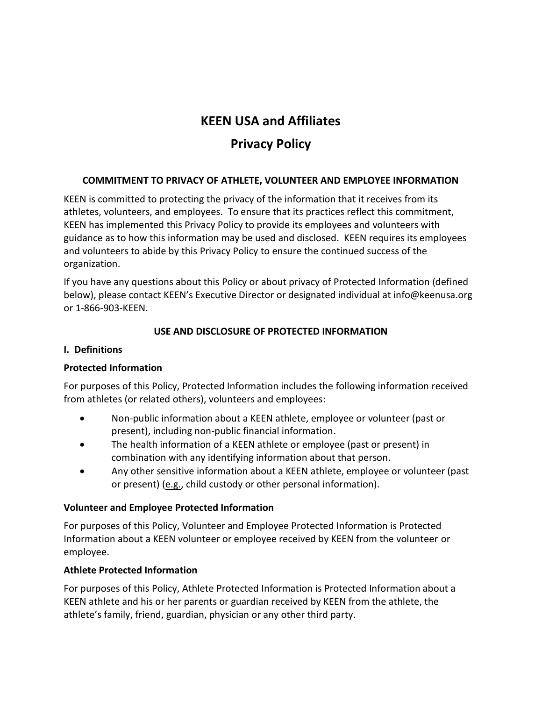# **KEEN USA and Affiliates**

# **Privacy Policy**

# **COMMITMENT TO PRIVACY OF ATHLETE, VOLUNTEER AND EMPLOYEE INFORMATION**

KEEN is committed to protecting the privacy of the information that it receives from its athletes, volunteers, and employees. To ensure that its practices reflect this commitment, KEEN has implemented this Privacy Policy to provide its employees and volunteers with guidance as to how this information may be used and disclosed. KEEN requires its employees and volunteers to abide by this Privacy Policy to ensure the continued success of the organization.

If you have any questions about this Policy or about privacy of Protected Information (defined below), please contact KEEN's Executive Director or designated individual at info@keenusa.org or 1-866-903-KEEN.

## **USE AND DISCLOSURE OF PROTECTED INFORMATION**

#### **I. Definitions**

## **Protected Information**

For purposes of this Policy, Protected Information includes the following information received from athletes (or related others), volunteers and employees:

- Non-public information about a KEEN athlete, employee or volunteer (past or present), including non-public financial information.
- The health information of a KEEN athlete or employee (past or present) in combination with any identifying information about that person.
- Any other sensitive information about a KEEN athlete, employee or volunteer (past or present) (e.g., child custody or other personal information).

#### **Volunteer and Employee Protected Information**

For purposes of this Policy, Volunteer and Employee Protected Information is Protected Information about a KEEN volunteer or employee received by KEEN from the volunteer or employee.

## **Athlete Protected Information**

For purposes of this Policy, Athlete Protected Information is Protected Information about a KEEN athlete and his or her parents or guardian received by KEEN from the athlete, the athlete's family, friend, guardian, physician or any other third party.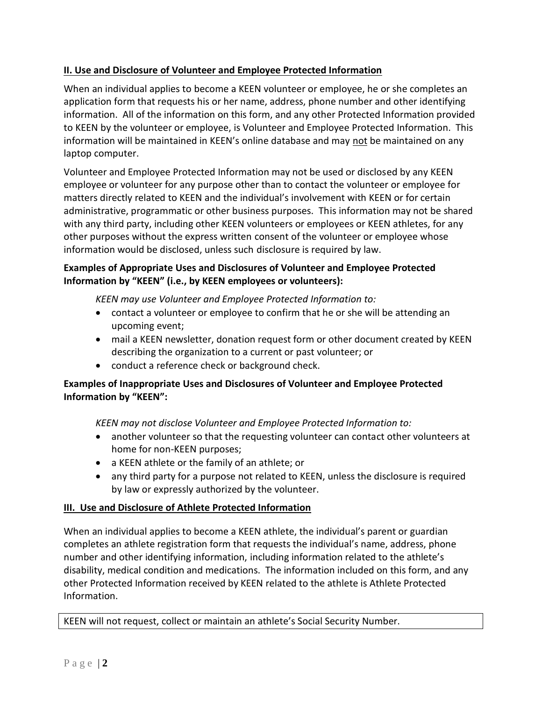# **II. Use and Disclosure of Volunteer and Employee Protected Information**

When an individual applies to become a KEEN volunteer or employee, he or she completes an application form that requests his or her name, address, phone number and other identifying information. All of the information on this form, and any other Protected Information provided to KEEN by the volunteer or employee, is Volunteer and Employee Protected Information. This information will be maintained in KEEN's online database and may not be maintained on any laptop computer.

Volunteer and Employee Protected Information may not be used or disclosed by any KEEN employee or volunteer for any purpose other than to contact the volunteer or employee for matters directly related to KEEN and the individual's involvement with KEEN or for certain administrative, programmatic or other business purposes. This information may not be shared with any third party, including other KEEN volunteers or employees or KEEN athletes, for any other purposes without the express written consent of the volunteer or employee whose information would be disclosed, unless such disclosure is required by law.

# **Examples of Appropriate Uses and Disclosures of Volunteer and Employee Protected Information by "KEEN" (i.e., by KEEN employees or volunteers):**

*KEEN may use Volunteer and Employee Protected Information to:*

- contact a volunteer or employee to confirm that he or she will be attending an upcoming event;
- mail a KEEN newsletter, donation request form or other document created by KEEN describing the organization to a current or past volunteer; or
- conduct a reference check or background check.

## **Examples of Inappropriate Uses and Disclosures of Volunteer and Employee Protected Information by "KEEN":**

*KEEN may not disclose Volunteer and Employee Protected Information to:* 

- another volunteer so that the requesting volunteer can contact other volunteers at home for non-KEEN purposes;
- a KEEN athlete or the family of an athlete; or
- any third party for a purpose not related to KEEN, unless the disclosure is required by law or expressly authorized by the volunteer.

# **III. Use and Disclosure of Athlete Protected Information**

When an individual applies to become a KEEN athlete, the individual's parent or guardian completes an athlete registration form that requests the individual's name, address, phone number and other identifying information, including information related to the athlete's disability, medical condition and medications. The information included on this form, and any other Protected Information received by KEEN related to the athlete is Athlete Protected Information.

KEEN will not request, collect or maintain an athlete's Social Security Number.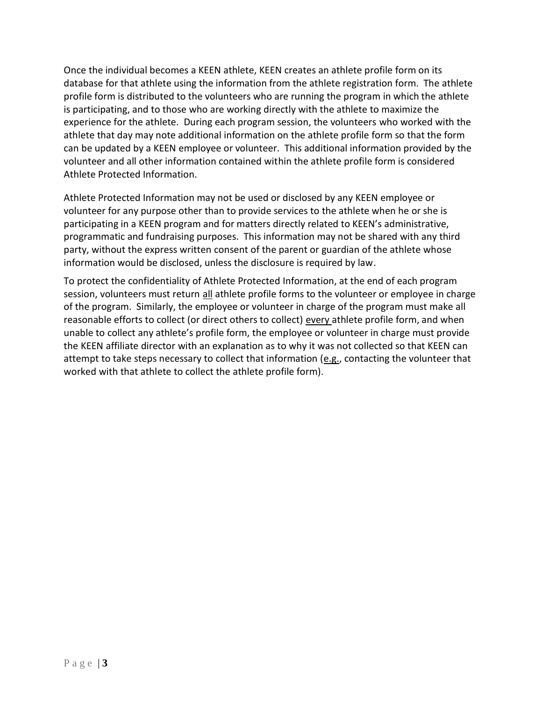Once the individual becomes a KEEN athlete, KEEN creates an athlete profile form on its database for that athlete using the information from the athlete registration form. The athlete profile form is distributed to the volunteers who are running the program in which the athlete is participating, and to those who are working directly with the athlete to maximize the experience for the athlete. During each program session, the volunteers who worked with the athlete that day may note additional information on the athlete profile form so that the form can be updated by a KEEN employee or volunteer. This additional information provided by the volunteer and all other information contained within the athlete profile form is considered Athlete Protected Information.

Athlete Protected Information may not be used or disclosed by any KEEN employee or volunteer for any purpose other than to provide services to the athlete when he or she is participating in a KEEN program and for matters directly related to KEEN's administrative, programmatic and fundraising purposes. This information may not be shared with any third party, without the express written consent of the parent or guardian of the athlete whose information would be disclosed, unless the disclosure is required by law.

To protect the confidentiality of Athlete Protected Information, at the end of each program session, volunteers must return all athlete profile forms to the volunteer or employee in charge of the program. Similarly, the employee or volunteer in charge of the program must make all reasonable efforts to collect (or direct others to collect) every athlete profile form, and when unable to collect any athlete's profile form, the employee or volunteer in charge must provide the KEEN affiliate director with an explanation as to why it was not collected so that KEEN can attempt to take steps necessary to collect that information (e.g., contacting the volunteer that worked with that athlete to collect the athlete profile form).